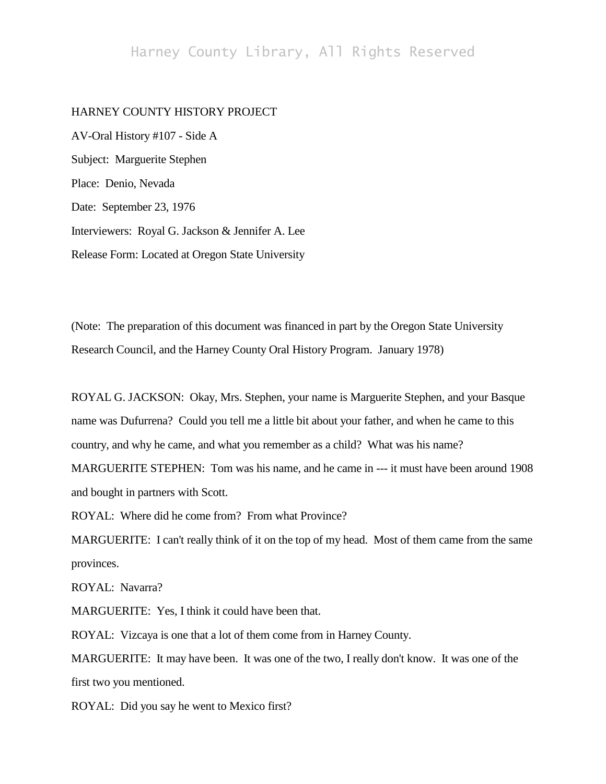## Harney County Library, All Rights Reserved

## HARNEY COUNTY HISTORY PROJECT

AV-Oral History #107 - Side A Subject: Marguerite Stephen Place: Denio, Nevada Date: September 23, 1976 Interviewers: Royal G. Jackson & Jennifer A. Lee Release Form: Located at Oregon State University

(Note: The preparation of this document was financed in part by the Oregon State University Research Council, and the Harney County Oral History Program. January 1978)

ROYAL G. JACKSON: Okay, Mrs. Stephen, your name is Marguerite Stephen, and your Basque name was Dufurrena? Could you tell me a little bit about your father, and when he came to this country, and why he came, and what you remember as a child? What was his name? MARGUERITE STEPHEN: Tom was his name, and he came in --- it must have been around 1908 and bought in partners with Scott.

ROYAL: Where did he come from? From what Province?

MARGUERITE: I can't really think of it on the top of my head. Most of them came from the same provinces.

ROYAL: Navarra?

MARGUERITE: Yes, I think it could have been that.

ROYAL: Vizcaya is one that a lot of them come from in Harney County.

MARGUERITE: It may have been. It was one of the two, I really don't know. It was one of the first two you mentioned.

ROYAL: Did you say he went to Mexico first?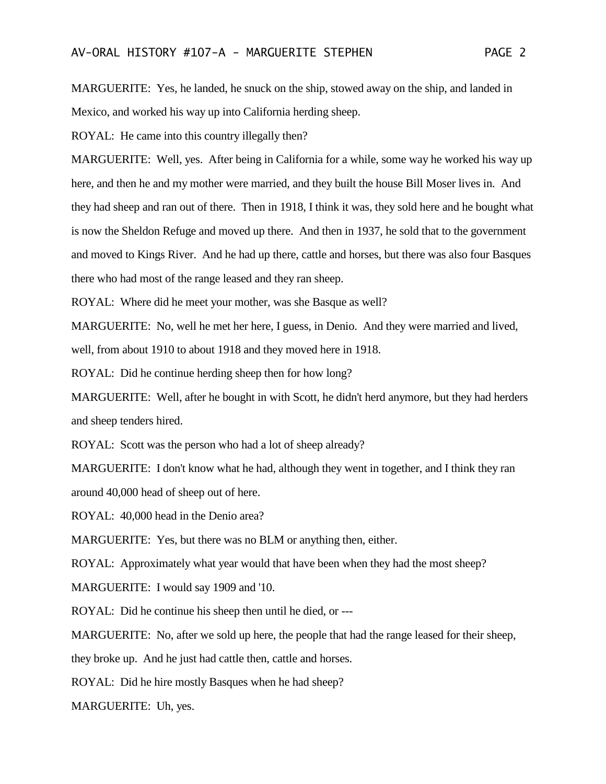MARGUERITE: Yes, he landed, he snuck on the ship, stowed away on the ship, and landed in Mexico, and worked his way up into California herding sheep.

ROYAL: He came into this country illegally then?

MARGUERITE: Well, yes. After being in California for a while, some way he worked his way up here, and then he and my mother were married, and they built the house Bill Moser lives in. And they had sheep and ran out of there. Then in 1918, I think it was, they sold here and he bought what is now the Sheldon Refuge and moved up there. And then in 1937, he sold that to the government and moved to Kings River. And he had up there, cattle and horses, but there was also four Basques there who had most of the range leased and they ran sheep.

ROYAL: Where did he meet your mother, was she Basque as well?

MARGUERITE: No, well he met her here, I guess, in Denio. And they were married and lived,

well, from about 1910 to about 1918 and they moved here in 1918.

ROYAL: Did he continue herding sheep then for how long?

MARGUERITE: Well, after he bought in with Scott, he didn't herd anymore, but they had herders and sheep tenders hired.

ROYAL: Scott was the person who had a lot of sheep already?

MARGUERITE: I don't know what he had, although they went in together, and I think they ran around 40,000 head of sheep out of here.

ROYAL: 40,000 head in the Denio area?

MARGUERITE: Yes, but there was no BLM or anything then, either.

ROYAL: Approximately what year would that have been when they had the most sheep?

MARGUERITE: I would say 1909 and '10.

ROYAL: Did he continue his sheep then until he died, or ---

MARGUERITE: No, after we sold up here, the people that had the range leased for their sheep,

they broke up. And he just had cattle then, cattle and horses.

ROYAL: Did he hire mostly Basques when he had sheep?

MARGUERITE: Uh, yes.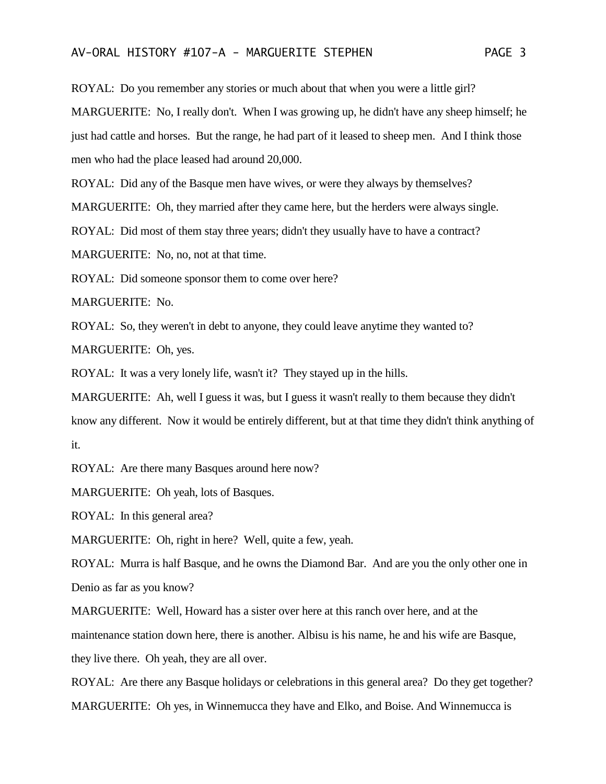ROYAL: Do you remember any stories or much about that when you were a little girl? MARGUERITE: No, I really don't. When I was growing up, he didn't have any sheep himself; he just had cattle and horses. But the range, he had part of it leased to sheep men. And I think those men who had the place leased had around 20,000.

ROYAL: Did any of the Basque men have wives, or were they always by themselves?

MARGUERITE: Oh, they married after they came here, but the herders were always single.

ROYAL: Did most of them stay three years; didn't they usually have to have a contract?

MARGUERITE: No, no, not at that time.

ROYAL: Did someone sponsor them to come over here?

MARGUERITE: No.

ROYAL: So, they weren't in debt to anyone, they could leave anytime they wanted to?

MARGUERITE: Oh, yes.

ROYAL: It was a very lonely life, wasn't it? They stayed up in the hills.

MARGUERITE: Ah, well I guess it was, but I guess it wasn't really to them because they didn't know any different. Now it would be entirely different, but at that time they didn't think anything of it.

ROYAL: Are there many Basques around here now?

MARGUERITE: Oh yeah, lots of Basques.

ROYAL: In this general area?

MARGUERITE: Oh, right in here? Well, quite a few, yeah.

ROYAL: Murra is half Basque, and he owns the Diamond Bar. And are you the only other one in Denio as far as you know?

MARGUERITE: Well, Howard has a sister over here at this ranch over here, and at the maintenance station down here, there is another. Albisu is his name, he and his wife are Basque, they live there. Oh yeah, they are all over.

ROYAL: Are there any Basque holidays or celebrations in this general area? Do they get together? MARGUERITE: Oh yes, in Winnemucca they have and Elko, and Boise. And Winnemucca is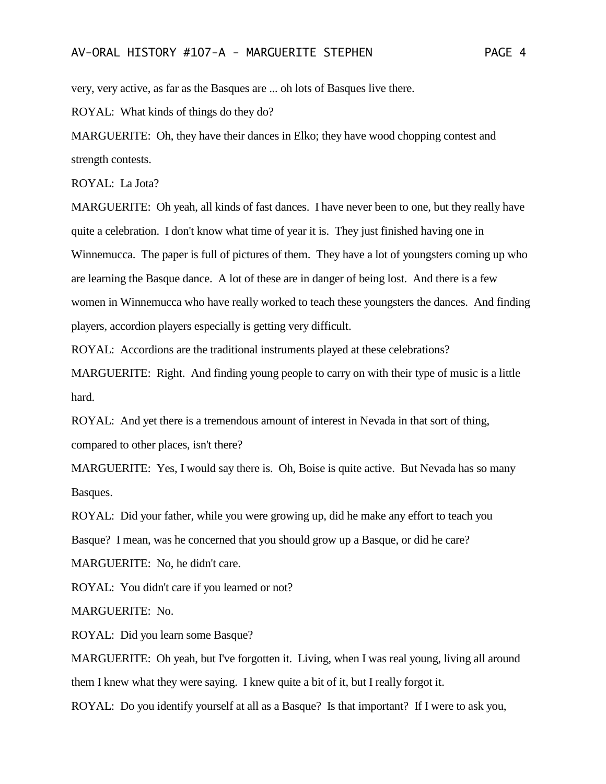very, very active, as far as the Basques are ... oh lots of Basques live there.

ROYAL: What kinds of things do they do?

MARGUERITE: Oh, they have their dances in Elko; they have wood chopping contest and strength contests.

ROYAL: La Jota?

MARGUERITE: Oh yeah, all kinds of fast dances. I have never been to one, but they really have quite a celebration. I don't know what time of year it is. They just finished having one in Winnemucca. The paper is full of pictures of them. They have a lot of youngsters coming up who are learning the Basque dance. A lot of these are in danger of being lost. And there is a few women in Winnemucca who have really worked to teach these youngsters the dances. And finding players, accordion players especially is getting very difficult.

ROYAL: Accordions are the traditional instruments played at these celebrations?

MARGUERITE: Right. And finding young people to carry on with their type of music is a little hard.

ROYAL: And yet there is a tremendous amount of interest in Nevada in that sort of thing, compared to other places, isn't there?

MARGUERITE: Yes, I would say there is. Oh, Boise is quite active. But Nevada has so many Basques.

ROYAL: Did your father, while you were growing up, did he make any effort to teach you

Basque? I mean, was he concerned that you should grow up a Basque, or did he care?

MARGUERITE: No, he didn't care.

ROYAL: You didn't care if you learned or not?

MARGUERITE: No.

ROYAL: Did you learn some Basque?

MARGUERITE: Oh yeah, but I've forgotten it. Living, when I was real young, living all around them I knew what they were saying. I knew quite a bit of it, but I really forgot it.

ROYAL: Do you identify yourself at all as a Basque? Is that important? If I were to ask you,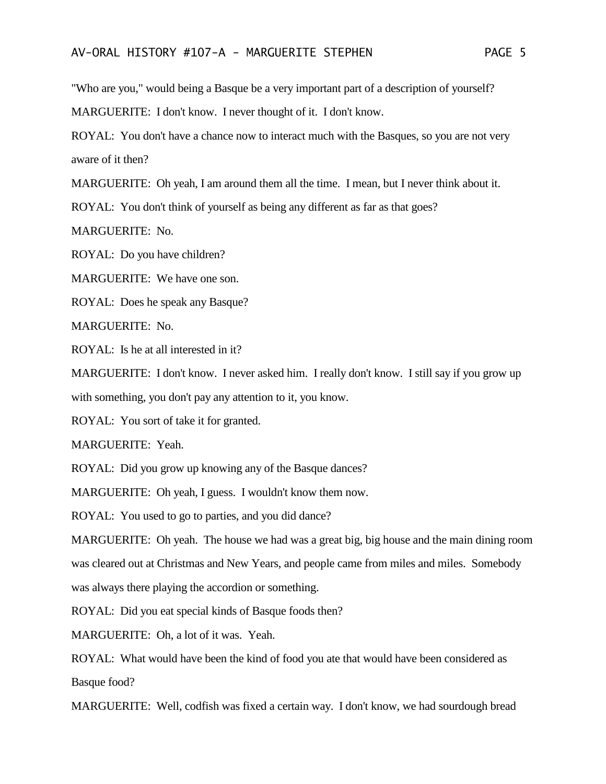"Who are you," would being a Basque be a very important part of a description of yourself? MARGUERITE: I don't know. I never thought of it. I don't know.

ROYAL: You don't have a chance now to interact much with the Basques, so you are not very aware of it then?

MARGUERITE: Oh yeah, I am around them all the time. I mean, but I never think about it.

ROYAL: You don't think of yourself as being any different as far as that goes?

MARGUERITE: No.

ROYAL: Do you have children?

MARGUERITE: We have one son.

ROYAL: Does he speak any Basque?

MARGUERITE: No.

ROYAL: Is he at all interested in it?

MARGUERITE: I don't know. I never asked him. I really don't know. I still say if you grow up with something, you don't pay any attention to it, you know.

ROYAL: You sort of take it for granted.

MARGUERITE: Yeah.

ROYAL: Did you grow up knowing any of the Basque dances?

MARGUERITE: Oh yeah, I guess. I wouldn't know them now.

ROYAL: You used to go to parties, and you did dance?

MARGUERITE: Oh yeah. The house we had was a great big, big house and the main dining room was cleared out at Christmas and New Years, and people came from miles and miles. Somebody was always there playing the accordion or something.

ROYAL: Did you eat special kinds of Basque foods then?

MARGUERITE: Oh, a lot of it was. Yeah.

ROYAL: What would have been the kind of food you ate that would have been considered as Basque food?

MARGUERITE: Well, codfish was fixed a certain way. I don't know, we had sourdough bread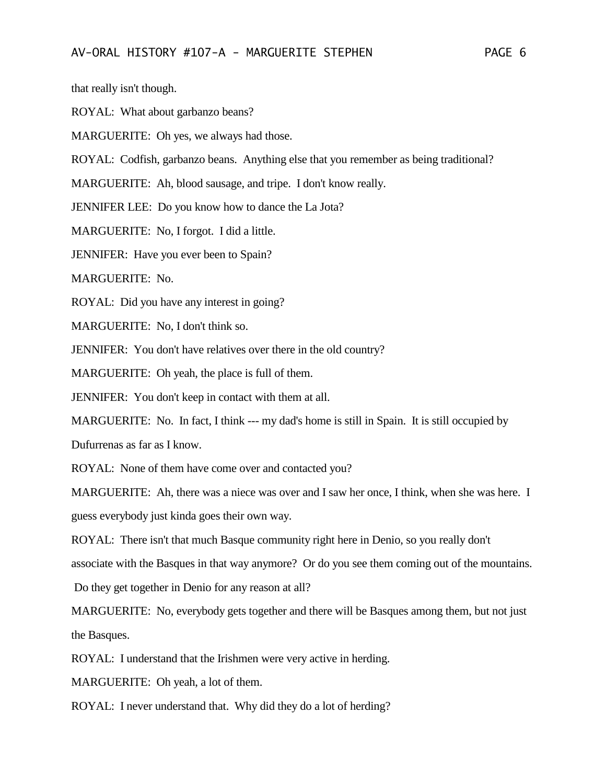that really isn't though.

ROYAL: What about garbanzo beans?

MARGUERITE: Oh yes, we always had those.

ROYAL: Codfish, garbanzo beans. Anything else that you remember as being traditional?

MARGUERITE: Ah, blood sausage, and tripe. I don't know really.

JENNIFER LEE: Do you know how to dance the La Jota?

MARGUERITE: No, I forgot. I did a little.

JENNIFER: Have you ever been to Spain?

MARGUERITE: No.

ROYAL: Did you have any interest in going?

MARGUERITE: No, I don't think so.

JENNIFER: You don't have relatives over there in the old country?

MARGUERITE: Oh yeah, the place is full of them.

JENNIFER: You don't keep in contact with them at all.

MARGUERITE: No. In fact, I think --- my dad's home is still in Spain. It is still occupied by

Dufurrenas as far as I know.

ROYAL: None of them have come over and contacted you?

MARGUERITE: Ah, there was a niece was over and I saw her once, I think, when she was here. I guess everybody just kinda goes their own way.

ROYAL: There isn't that much Basque community right here in Denio, so you really don't associate with the Basques in that way anymore? Or do you see them coming out of the mountains.

Do they get together in Denio for any reason at all?

MARGUERITE: No, everybody gets together and there will be Basques among them, but not just the Basques.

ROYAL: I understand that the Irishmen were very active in herding.

MARGUERITE: Oh yeah, a lot of them.

ROYAL: I never understand that. Why did they do a lot of herding?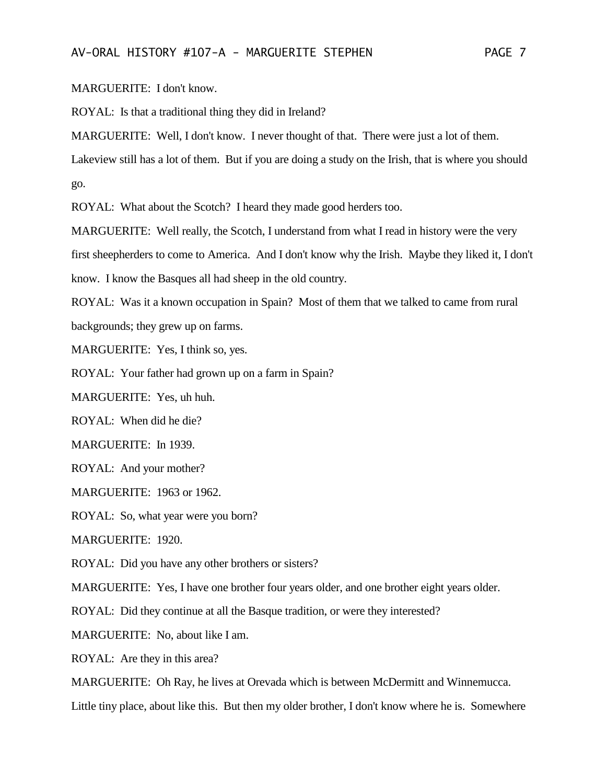MARGUERITE: I don't know.

ROYAL: Is that a traditional thing they did in Ireland?

MARGUERITE: Well, I don't know. I never thought of that. There were just a lot of them.

Lakeview still has a lot of them. But if you are doing a study on the Irish, that is where you should go.

ROYAL: What about the Scotch? I heard they made good herders too.

MARGUERITE: Well really, the Scotch, I understand from what I read in history were the very first sheepherders to come to America. And I don't know why the Irish. Maybe they liked it, I don't know. I know the Basques all had sheep in the old country.

ROYAL: Was it a known occupation in Spain? Most of them that we talked to came from rural backgrounds; they grew up on farms.

MARGUERITE: Yes, I think so, yes.

ROYAL: Your father had grown up on a farm in Spain?

MARGUERITE: Yes, uh huh.

ROYAL: When did he die?

MARGUERITE: In 1939.

ROYAL: And your mother?

MARGUERITE: 1963 or 1962.

ROYAL: So, what year were you born?

MARGUERITE: 1920.

ROYAL: Did you have any other brothers or sisters?

MARGUERITE: Yes, I have one brother four years older, and one brother eight years older.

ROYAL: Did they continue at all the Basque tradition, or were they interested?

MARGUERITE: No, about like I am.

ROYAL: Are they in this area?

MARGUERITE: Oh Ray, he lives at Orevada which is between McDermitt and Winnemucca.

Little tiny place, about like this. But then my older brother, I don't know where he is. Somewhere